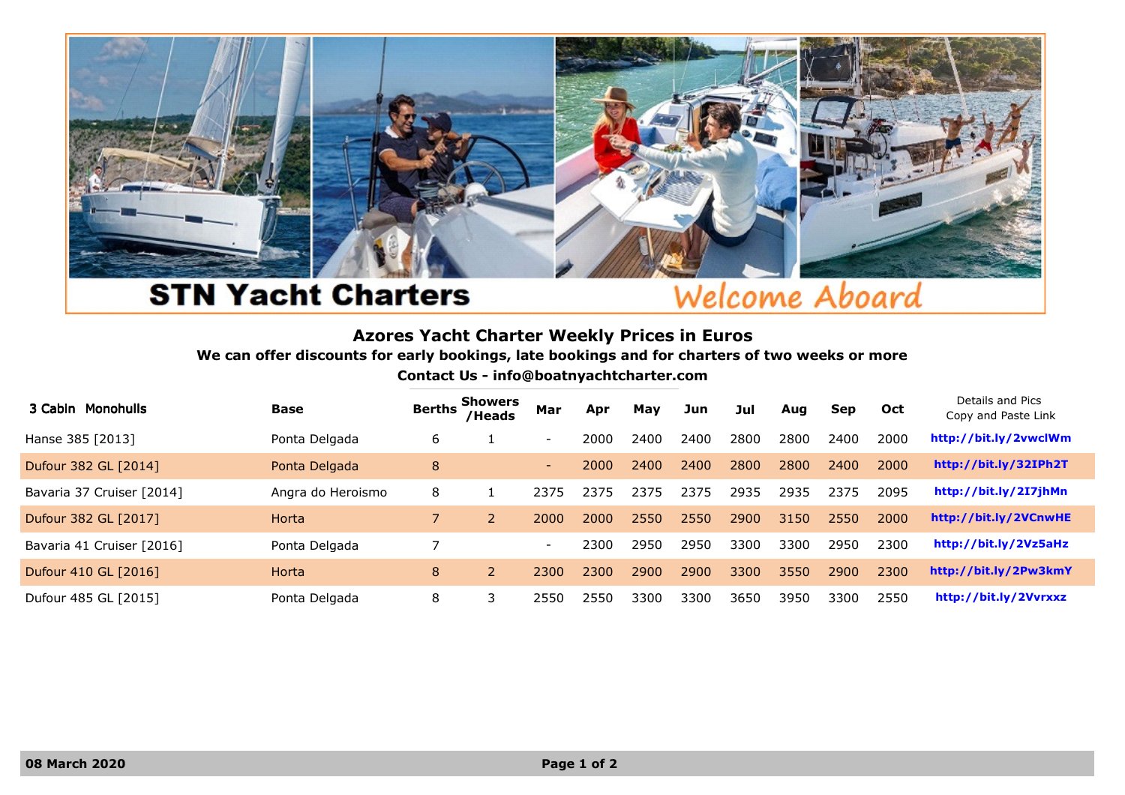

## **STN Yacht Charters**

## Welcome Aboard

## Azores Yacht Charter Weekly Prices in Euros

We can offer discounts for early bookings, late bookings and for charters of two weeks or more

Contact Us - info@boatnyachtcharter.com

| 3 Cabin Monohulls         | Base              | <b>Berths</b> | <b>Showers</b><br>/Heads | Mar            | Apr  | May  | Jun  | Jul  | Aug  | <b>Sep</b> | Oct  | Details and Pics<br>Copy and Paste Link |
|---------------------------|-------------------|---------------|--------------------------|----------------|------|------|------|------|------|------------|------|-----------------------------------------|
| Hanse 385 [2013]          | Ponta Delgada     | 6             |                          | $\sim$         | 2000 | 2400 | 2400 | 2800 | 2800 | 2400       | 2000 | http://bit.ly/2vwclWm                   |
| Dufour 382 GL [2014]      | Ponta Delgada     | 8             |                          | <b>Section</b> | 2000 | 2400 | 2400 | 2800 | 2800 | 2400       | 2000 | http://bit.ly/32IPh2T                   |
| Bavaria 37 Cruiser [2014] | Angra do Heroismo | 8             |                          | 2375           | 2375 | 2375 | 2375 | 2935 | 2935 | 2375       | 2095 | http://bit.ly/2I7jhMn                   |
| Dufour 382 GL [2017]      | Horta             |               |                          | 2000           | 2000 | 2550 | 2550 | 2900 | 3150 | 2550       | 2000 | http://bit.ly/2VCnwHE                   |
| Bavaria 41 Cruiser [2016] | Ponta Delgada     |               |                          | $\sim$         | 2300 | 2950 | 2950 | 3300 | 3300 | 2950       | 2300 | http://bit.ly/2Vz5aHz                   |
| Dufour 410 GL [2016]      | Horta             | 8             |                          | 2300           | 2300 | 2900 | 2900 | 3300 | 3550 | 2900       | 2300 | http://bit.ly/2Pw3kmY                   |
| Dufour 485 GL [2015]      | Ponta Delgada     | 8             |                          | 2550           | 2550 | 3300 | 3300 | 3650 | 3950 | 3300       | 2550 | http://bit.ly/2Vvrxxz                   |